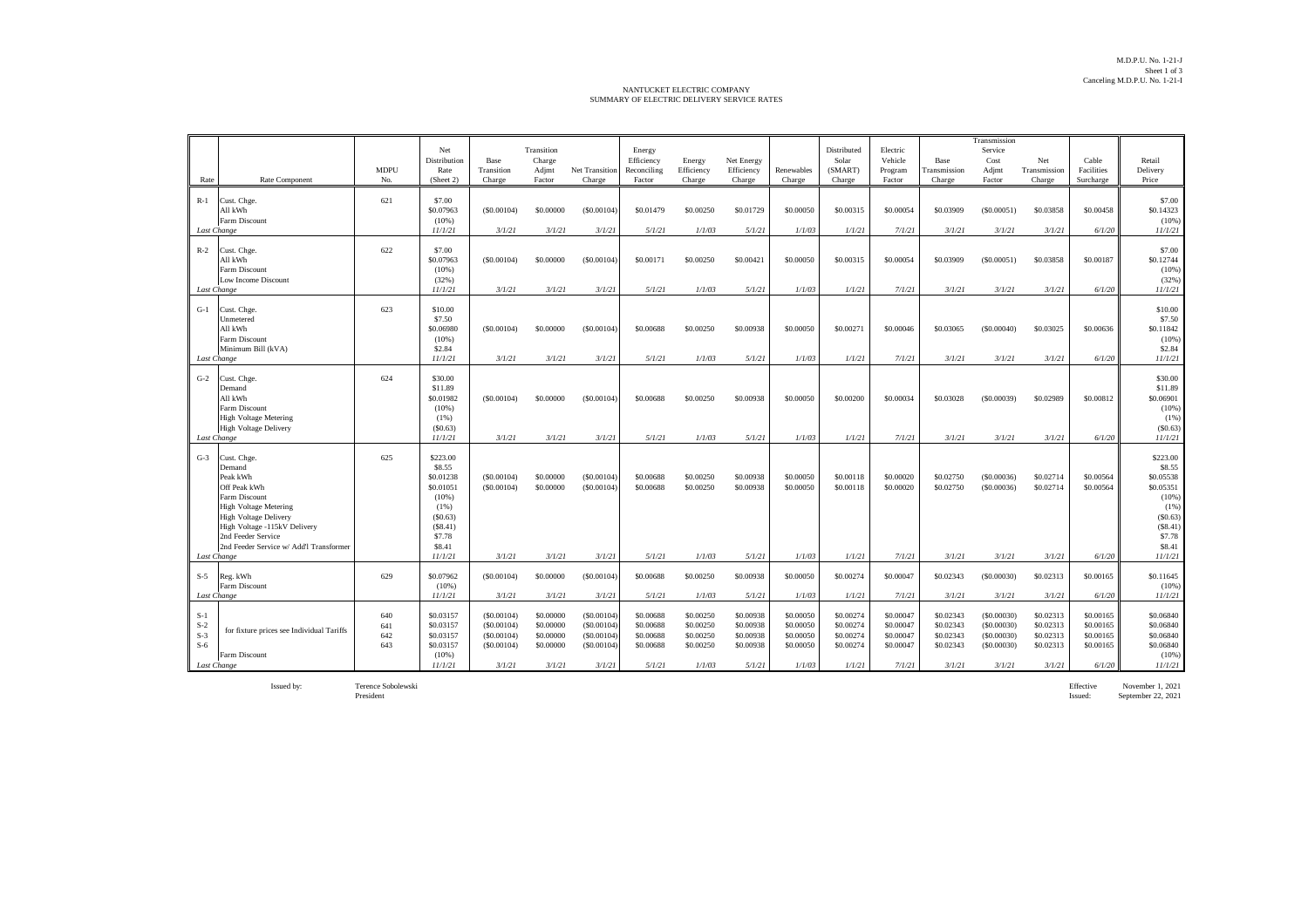## NANTUCKET ELECTRIC COMPANY SUMMARY OF ELECTRIC DELIVERY SERVICE RATES

| Rate                             | Rate Component                                                                                                                                                                                                                                     | <b>MDPU</b><br>No.       | Net<br>Distribution<br>Rate<br>(Sheet 2)                                                                             | Base<br>Transition<br>Charge                                   | Transition<br>Charge<br>Adjmt<br>Factor                    | Net Transition<br>Charge                                       | Energy<br>Efficiency<br>Reconciling<br>Factor              | Energy<br>Efficiency<br>Charge                             | Net Energy<br>Efficiency<br>Charge                         | Renewables<br>Charge                                       | Distributed<br>Solar<br>(SMART)<br>Charge                  | Electric<br>Vehicle<br>Program<br>Factor                   | Base<br>Transmission<br>Charge                             | Transmission<br>Service<br>Cost<br>Adjmt<br>Factor             | Net<br>Transmission<br>Charge                              | Cable<br>Facilities<br>Surcharge                           | Retail<br>Delivery<br>Price                                                                                         |
|----------------------------------|----------------------------------------------------------------------------------------------------------------------------------------------------------------------------------------------------------------------------------------------------|--------------------------|----------------------------------------------------------------------------------------------------------------------|----------------------------------------------------------------|------------------------------------------------------------|----------------------------------------------------------------|------------------------------------------------------------|------------------------------------------------------------|------------------------------------------------------------|------------------------------------------------------------|------------------------------------------------------------|------------------------------------------------------------|------------------------------------------------------------|----------------------------------------------------------------|------------------------------------------------------------|------------------------------------------------------------|---------------------------------------------------------------------------------------------------------------------|
| $R-1$                            | Cust. Chge.<br>All kWh<br>Farm Discount<br>Last Change                                                                                                                                                                                             | 621                      | \$7.00<br>\$0.07963<br>(10%<br>11/1/21                                                                               | (S0.00104)<br>3/1/21                                           | \$0,00000<br>3/1/21                                        | (S0.00104)<br>3/1/21                                           | \$0.01479<br>5/1/21                                        | \$0,00250<br>1/1/03                                        | \$0.01729<br>5/1/21                                        | \$0,00050<br>1/1/03                                        | \$0,00315<br>1/1/21                                        | \$0,00054<br>7/1/21                                        | \$0.03909<br>3/1/21                                        | (S0.00051)<br>3/1/21                                           | \$0.03858<br>3/1/21                                        | \$0,00458<br>6/1/20                                        | \$7.00<br>\$0.14323<br>(10%<br>11/1/21                                                                              |
| $R-2$                            | Cust. Chge.<br>All kWh<br>Farm Discount<br>Low Income Discount<br>Last Change                                                                                                                                                                      | 622                      | \$7.00<br>\$0.07963<br>$(10\%)$<br>(32%)<br>11/1/21                                                                  | (S0.00104)<br>3/1/21                                           | \$0,00000<br>3/1/21                                        | (S0,00104)<br>3/1/21                                           | \$0,00171<br>5/1/21                                        | \$0,00250<br>1/1/03                                        | \$0,00421<br>5/1/21                                        | \$0,00050<br>1/1/03                                        | \$0,00315<br>1/1/21                                        | \$0,00054<br>7/1/21                                        | \$0.03909<br>3/1/21                                        | (S0.00051)<br>3/1/21                                           | \$0.03858<br>3/1/21                                        | \$0,00187<br>6/1/20                                        | \$7.00<br>\$0.12744<br>(10%<br>(32%)<br>11/1/21                                                                     |
| $G-1$                            | Cust. Chge.<br>Unmetered<br>All kWh<br>Farm Discount<br>Minimum Bill (kVA)<br>Last Change                                                                                                                                                          | 623                      | \$10.00<br>\$7.50<br>\$0.06980<br>$(10\%)$<br>\$2.84<br>11/1/21                                                      | (S0.00104)<br>3/1/21                                           | \$0,00000<br>3/1/21                                        | (S0.00104)<br>3/1/21                                           | \$0,00688<br>5/1/21                                        | \$0,00250<br>1/1/03                                        | \$0.00938<br>5/1/21                                        | \$0,00050<br>1/1/03                                        | \$0,00271<br>1/1/21                                        | \$0,00046<br>7/1/21                                        | \$0.03065<br>3/1/21                                        | (S0,00040)<br>3/1/21                                           | \$0.03025<br>3/1/21                                        | \$0,00636<br>6/1/20                                        | \$10.00<br>\$7.50<br>\$0.11842<br>(10%)<br>\$2.84<br>11/1/21                                                        |
| $G-2$                            | Cust. Chge.<br>Demand<br>All kWh<br>Farm Discount<br><b>High Voltage Metering</b><br><b>High Voltage Delivery</b><br>Last Change                                                                                                                   | 624                      | \$30.00<br>\$11.89<br>\$0.01982<br>(10%<br>$(1\%)$<br>(S0.63)<br>11/1/21                                             | (S0.00104)<br>3/1/21                                           | \$0,00000<br>3/1/21                                        | (S0.00104)<br>3/1/21                                           | \$0,00688<br>5/1/21                                        | \$0,00250<br>1/1/03                                        | \$0,00938<br>5/1/21                                        | \$0,00050<br>1/1/03                                        | \$0,00200<br>1/1/21                                        | \$0,00034<br>7/1/21                                        | \$0.03028<br>3/1/21                                        | (S0.00039)<br>3/1/21                                           | \$0.02989<br>3/1/21                                        | \$0,00812<br>6/1/20                                        | \$30.00<br>\$11.89<br>\$0.06901<br>(10%<br>(1%)<br>(S0.63)<br>11/1/21                                               |
| $G-3$                            | Cust. Chge.<br>Demand<br>Peak kWh<br>Off Peak kWh<br>Farm Discount<br><b>High Voltage Metering</b><br><b>High Voltage Delivery</b><br>High Voltage -115kV Delivery<br>2nd Feeder Service<br>2nd Feeder Service w/ Add'l Transformer<br>Last Change | 625                      | \$223.00<br>\$8.55<br>\$0.01238<br>\$0.01051<br>(10%<br>$(1\%)$<br>(S0.63)<br>(S8.41)<br>\$7.78<br>\$8.41<br>11/1/21 | (S0.00104)<br>(S0.00104)<br>3/1/21                             | \$0,00000<br>\$0.00000<br>3/1/21                           | (S0.00104)<br>(S0.00104)<br>3/1/21                             | \$0,00688<br>\$0.00688<br>5/1/21                           | \$0.00250<br>\$0.00250<br>1/1/03                           | \$0.00938<br>\$0.00938<br>5/1/21                           | \$0,00050<br>\$0,00050<br>1/1/03                           | \$0,00118<br>\$0.00118<br>1/1/21                           | \$0,00020<br>\$0,00020<br>7/1/21                           | \$0.02750<br>\$0.02750<br>3/1/21                           | (S0.00036)<br>(S0.00036)<br>3/1/21                             | \$0.02714<br>\$0.02714<br>3/1/21                           | \$0,00564<br>\$0.00564<br>6/1/20                           | \$223.00<br>\$8.55<br>\$0.05538<br>\$0.05351<br>(10%)<br>(1%)<br>(S0.63)<br>(\$8.41)<br>\$7.78<br>\$8.41<br>11/1/21 |
| $S-5$                            | Reg. kWh<br>Farm Discount<br>Last Change                                                                                                                                                                                                           | 629                      | \$0.07962<br>$(10\%)$<br>11/1/21                                                                                     | (S0.00104)<br>3/1/21                                           | \$0.00000<br>3/1/21                                        | (S0.00104)<br>3/1/21                                           | \$0,00688<br>5/1/21                                        | \$0.00250<br>1/1/03                                        | \$0.00938<br>5/1/21                                        | \$0,00050<br>1/1/03                                        | \$0,00274<br>1/1/21                                        | \$0,00047<br>7/1/21                                        | \$0.02343<br>3/1/21                                        | (S0.00030)<br>3/1/21                                           | \$0.02313<br>3/1/21                                        | \$0.00165<br>6/1/20                                        | \$0.11645<br>(10%)<br>11/1/21                                                                                       |
| $S-1$<br>$S-2$<br>$S-3$<br>$S-6$ | for fixture prices see Individual Tariffs<br>Farm Discount<br>Last Change                                                                                                                                                                          | 640<br>641<br>642<br>643 | \$0.03157<br>\$0.03157<br>\$0.03157<br>\$0.03157<br>$(10\%)$<br>11/1/21                                              | (S0.00104)<br>(S0.00104)<br>(S0.00104)<br>(S0.00104)<br>3/1/21 | \$0,00000<br>\$0,00000<br>\$0.00000<br>\$0.00000<br>3/1/21 | (S0.00104)<br>(S0.00104)<br>(S0.00104)<br>(S0.00104)<br>3/1/21 | \$0,00688<br>\$0,00688<br>\$0,00688<br>\$0.00688<br>5/1/21 | \$0,00250<br>\$0,00250<br>\$0.00250<br>\$0.00250<br>1/1/03 | \$0.00938<br>\$0.00938<br>\$0.00938<br>\$0.00938<br>5/1/21 | \$0,00050<br>\$0,00050<br>\$0,00050<br>\$0.00050<br>1/1/03 | \$0,00274<br>\$0,00274<br>\$0,00274<br>\$0.00274<br>1/1/21 | \$0,00047<br>\$0,00047<br>\$0,00047<br>\$0,00047<br>7/1/21 | \$0.02343<br>\$0.02343<br>\$0.02343<br>\$0.02343<br>3/1/21 | (S0.00030)<br>(S0.00030)<br>(S0.00030)<br>(S0.00030)<br>3/1/21 | \$0.02313<br>\$0.02313<br>\$0.02313<br>\$0.02313<br>3/1/21 | \$0,00165<br>\$0,00165<br>\$0.00165<br>\$0.00165<br>6/1/20 | \$0.06840<br>\$0,06840<br>\$0.06840<br>\$0.06840<br>$(10\%)$<br>11/1/21                                             |

Issued by: Terence Sobolewski Effective November 1, 2021 President Issued: September 22, 2021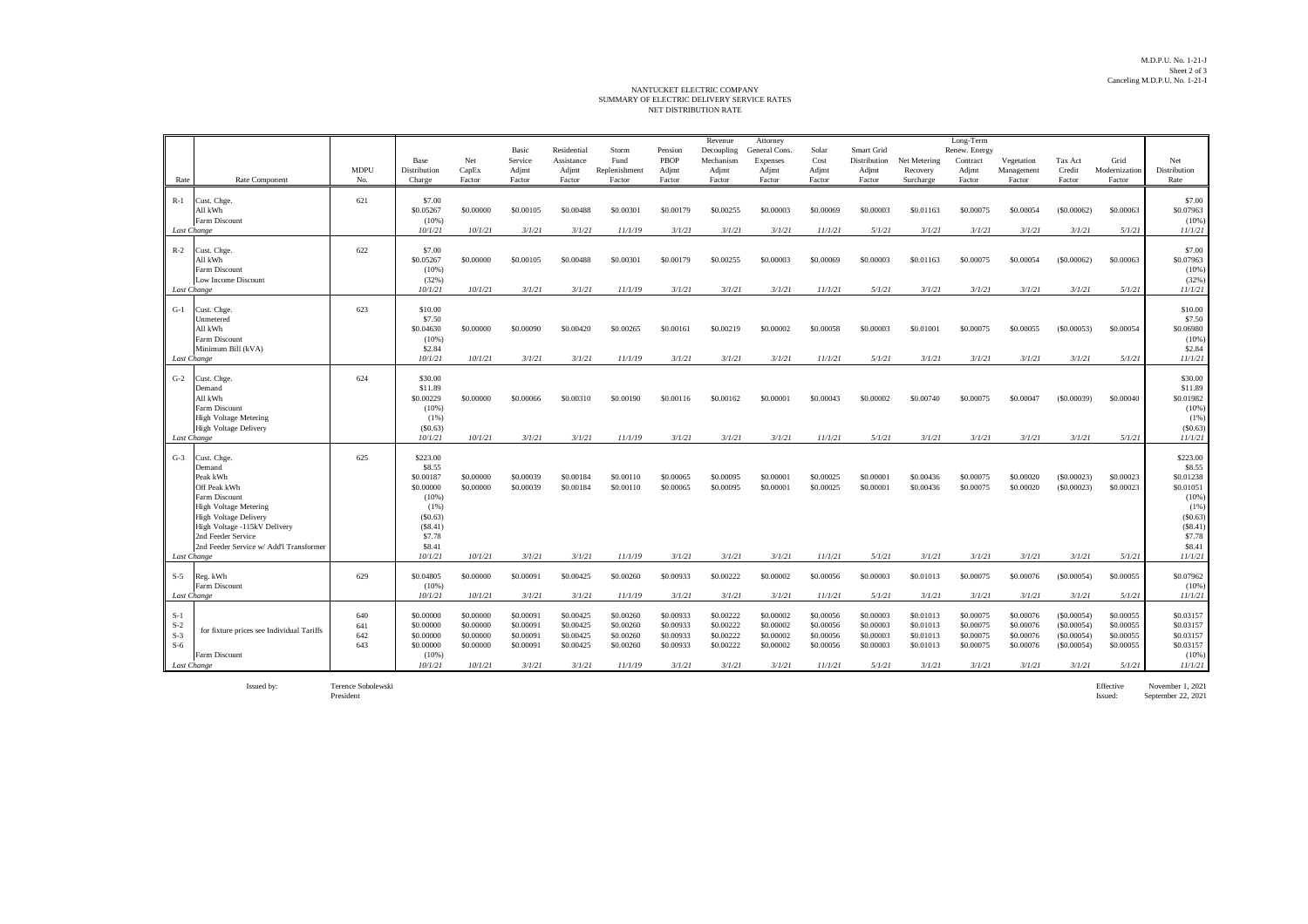## NET DISTRIBUTION RATE NANTUCKET ELECTRIC COMPANY<br>SUMMARY OF ELECTRIC DELIVERY SERVICE RATES

|                                                                                                                                                                                                                                                             | <b>MDPU</b>              | Base<br>Distribution                                                                                               | Net<br>CapEx                                                           | Basic<br>Service<br>Adjmt                                            | Residential<br>Assistance<br>Adjmt                                   | Storm<br>Fund<br>Replenishment                                         | Pension<br>PBOP<br>Adjmt                                             | Revenue<br>Decoupling<br>Mechanism<br>Adjmt                          | Attorney<br>General Cons.<br>Expenses<br>Adjmt                       | Solar<br>Cost<br>Adjmt                                                 | Smart Grid<br>Distribution<br>Adjmt                                  | Net Metering<br>Recovery                                             | Long-Term<br>Renew. Energy<br>Contract<br>Adjmt                      | Vegetation<br>Management                                             | Tax Act<br>Credit                                                        | Grid<br>Modernization                                                | Net<br>Distribution                                                                                                   |
|-------------------------------------------------------------------------------------------------------------------------------------------------------------------------------------------------------------------------------------------------------------|--------------------------|--------------------------------------------------------------------------------------------------------------------|------------------------------------------------------------------------|----------------------------------------------------------------------|----------------------------------------------------------------------|------------------------------------------------------------------------|----------------------------------------------------------------------|----------------------------------------------------------------------|----------------------------------------------------------------------|------------------------------------------------------------------------|----------------------------------------------------------------------|----------------------------------------------------------------------|----------------------------------------------------------------------|----------------------------------------------------------------------|--------------------------------------------------------------------------|----------------------------------------------------------------------|-----------------------------------------------------------------------------------------------------------------------|
| Rate Component<br>Rate                                                                                                                                                                                                                                      | No.                      | Charge                                                                                                             | Factor                                                                 | Factor                                                               | Factor                                                               | Factor                                                                 | Factor                                                               | Factor                                                               | Factor                                                               | Factor                                                                 | Factor                                                               | Surcharge                                                            | Factor                                                               | Factor                                                               | Factor                                                                   | Factor                                                               | Rate                                                                                                                  |
| Cust. Chge.<br>$R-1$<br>All kWh<br>Farm Discount<br>Last Change                                                                                                                                                                                             | 621                      | \$7.00<br>\$0.05267<br>(10%)<br>10/1/21                                                                            | \$0.00000<br>10/1/21                                                   | \$0,00105<br>3/1/21                                                  | \$0,00488<br>3/1/21                                                  | \$0,00301<br>11/1/19                                                   | \$0,00179<br>3/1/21                                                  | \$0,00255<br>3/1/21                                                  | \$0,00003<br>3/1/21                                                  | \$0,00069<br>11/1/21                                                   | \$0,00003<br>5/1/21                                                  | \$0.01163<br>3/1/21                                                  | \$0,00075<br>3/1/21                                                  | \$0,00054<br>3/1/21                                                  | (S0.00062)<br>3/1/21                                                     | \$0,00063<br>5/1/21                                                  | \$7.00<br>\$0.07963<br>(10%)<br>11/1/21                                                                               |
| $R-2$<br>Cust. Chge.<br>All kWh<br>Farm Discount<br>Low Income Discount<br>Last Change                                                                                                                                                                      | 622                      | \$7.00<br>\$0.05267<br>(10%)<br>(32%)<br>10/1/21                                                                   | \$0,00000<br>10/1/21                                                   | \$0,00105<br>3/1/21                                                  | \$0,00488<br>3/1/21                                                  | \$0,00301<br>11/1/19                                                   | \$0,00179<br>3/1/21                                                  | \$0,00255<br>3/1/21                                                  | \$0,00003<br>3/1/21                                                  | \$0,00069<br>11/1/21                                                   | \$0,00003<br>5/1/21                                                  | \$0.01163<br>3/1/21                                                  | \$0,00075<br>3/1/21                                                  | \$0,00054<br>3/1/21                                                  | (S0.00062)<br>3/1/21                                                     | \$0,00063<br>5/1/21                                                  | \$7.00<br>\$0.07963<br>(10%)<br>(32%)<br>11/1/21                                                                      |
| $G-1$<br>Cust. Chge<br>Unmetered<br>All kWh<br>Farm Discount<br>Minimum Bill (kVA)<br>Last Change                                                                                                                                                           | 623                      | \$10.00<br>\$7.50<br>\$0.04630<br>(10%)<br>\$2.84<br>10/1/21                                                       | \$0,00000<br>10/1/21                                                   | \$0,00090<br>3/1/21                                                  | \$0,00420<br>3/1/21                                                  | \$0,00265<br>11/1/19                                                   | \$0.00161<br>3/1/21                                                  | \$0,00219<br>3/1/21                                                  | \$0,00002<br>3/1/21                                                  | \$0,00058<br>11/1/21                                                   | \$0,00003<br>5/1/21                                                  | \$0,01001<br>3/1/21                                                  | \$0,00075<br>3/1/21                                                  | \$0,00055<br>3/1/21                                                  | (S0.00053)<br>3/1/21                                                     | \$0.00054<br>5/1/21                                                  | \$10.00<br>\$7.50<br>\$0.06980<br>(10%<br>\$2.84<br>11/1/21                                                           |
| $G-2$<br>Cust. Chge.<br>Demand<br>All kWh<br>Farm Discount<br><b>High Voltage Metering</b><br><b>High Voltage Delivery</b><br>Last Change                                                                                                                   | 624                      | \$30.00<br>\$11.89<br>\$0.00229<br>(10%)<br>$(1\%)$<br>(S0.63)<br>10/1/21                                          | \$0,00000<br>10/1/21                                                   | \$0,00066<br>3/1/21                                                  | \$0,00310<br>3/1/21                                                  | \$0,00190<br>11/1/19                                                   | \$0,00116<br>3/1/21                                                  | \$0,00162<br>3/1/21                                                  | \$0,00001<br>3/1/21                                                  | \$0.00043<br>11/1/21                                                   | \$0,00002<br>5/1/21                                                  | \$0,00740<br>3/1/21                                                  | \$0.00075<br>3/1/21                                                  | \$0,00047<br>3/1/21                                                  | (S0,00039)<br>3/1/21                                                     | \$0,00040<br>5/1/21                                                  | \$30.00<br>\$11.89<br>\$0.01982<br>(10%<br>(1%)<br>(S0.63)<br>11/1/21                                                 |
| $G-3$<br>Cust. Chge.<br>Demand<br>Peak kWh<br>Off Peak kWh<br>Farm Discount<br><b>High Voltage Metering</b><br><b>High Voltage Delivery</b><br>High Voltage -115kV Delivery<br>2nd Feeder Service<br>2nd Feeder Service w/ Add'l Transformer<br>Last Change | 625                      | \$223.00<br>\$8.55<br>\$0.00187<br>\$0,00000<br>(10%)<br>(1%)<br>(S0.63)<br>(S8.41)<br>\$7.78<br>\$8.41<br>10/1/21 | \$0,00000<br>\$0,00000<br>10/1/21                                      | \$0.00039<br>\$0.00039<br>3/1/21                                     | \$0.00184<br>\$0.00184<br>3/1/21                                     | \$0.00110<br>\$0.00110<br>11/1/19                                      | \$0.00065<br>\$0.00065<br>3/1/21                                     | \$0.00095<br>\$0.00095<br>3/1/21                                     | \$0,00001<br>\$0,00001<br>3/1/21                                     | \$0,00025<br>\$0,00025<br>11/1/21                                      | \$0,00001<br>\$0.00001<br>5/1/21                                     | \$0.00436<br>\$0.00436<br>3/1/21                                     | \$0.00075<br>\$0.00075<br>3/1/21                                     | \$0,00020<br>\$0.00020<br>3/1/21                                     | (S0.00023)<br>(S0.00023)<br>3/1/21                                       | \$0.00023<br>\$0.00023<br>5/1/21                                     | \$223.00<br>\$8.55<br>\$0.01238<br>\$0.01051<br>$(10\%)$<br>(1%)<br>(S0.63)<br>(S8.41)<br>\$7.78<br>\$8.41<br>11/1/21 |
| $S-5$<br>Reg. kWh<br>Farm Discount                                                                                                                                                                                                                          | 629                      | \$0.04805<br>(10%)                                                                                                 | \$0,00000                                                              | \$0.00091                                                            | \$0.00425                                                            | \$0.00260                                                              | \$0.00933                                                            | \$0.00222                                                            | \$0.00002                                                            | \$0.00056                                                              | \$0.00003                                                            | \$0.01013                                                            | \$0.00075                                                            | \$0.00076                                                            | (S0.00054)                                                               | \$0.00055                                                            | \$0.07962<br>(10%                                                                                                     |
| Last Change<br>$S-1$<br>$S-2$<br>for fixture prices see Individual Tariffs<br>$S-3$<br>$S-6$<br>Farm Discount<br>Last Change                                                                                                                                | 640<br>641<br>642<br>643 | 10/1/21<br>\$0,00000<br>\$0,00000<br>\$0.00000<br>\$0,00000<br>(10%)<br>10/1/21                                    | 10/1/21<br>\$0,00000<br>\$0.00000<br>\$0.00000<br>\$0,00000<br>10/1/21 | 3/1/21<br>\$0,00091<br>\$0.00091<br>\$0.00091<br>\$0.00091<br>3/1/21 | 3/1/21<br>\$0,00425<br>\$0.00425<br>\$0.00425<br>\$0.00425<br>3/1/21 | 11/1/19<br>\$0,00260<br>\$0.00260<br>\$0.00260<br>\$0.00260<br>11/1/19 | 3/1/21<br>\$0,00933<br>\$0.00933<br>\$0.00933<br>\$0,00933<br>3/1/21 | 3/1/21<br>\$0.00222<br>\$0.00222<br>\$0.00222<br>\$0.00222<br>3/1/21 | 3/1/21<br>\$0,00002<br>\$0.00002<br>\$0.00002<br>\$0.00002<br>3/1/21 | 11/1/21<br>\$0,00056<br>\$0.00056<br>\$0.00056<br>\$0,00056<br>11/1/21 | 5/1/21<br>\$0,00003<br>\$0.00003<br>\$0.00003<br>\$0,00003<br>5/1/21 | 3/1/21<br>\$0.01013<br>\$0.01013<br>\$0.01013<br>\$0.01013<br>3/1/21 | 3/1/21<br>\$0,00075<br>\$0.00075<br>\$0.00075<br>\$0.00075<br>3/1/21 | 3/1/21<br>\$0,00076<br>\$0.00076<br>\$0.00076<br>\$0.00076<br>3/1/21 | 3/1/21<br>(S0,00054)<br>(S0.00054)<br>(S0.00054)<br>(S0.00054)<br>3/1/21 | 5/1/21<br>\$0,00055<br>\$0.00055<br>\$0.00055<br>\$0.00055<br>5/1/21 | 11/1/21<br>\$0.03157<br>\$0.03157<br>\$0.03157<br>\$0.03157<br>(10%<br>11/1/21                                        |

Issued by: Terence Sobolewski

President

Effective November 1, 2021<br>Issued: September 22, 2021 September 22, 2021